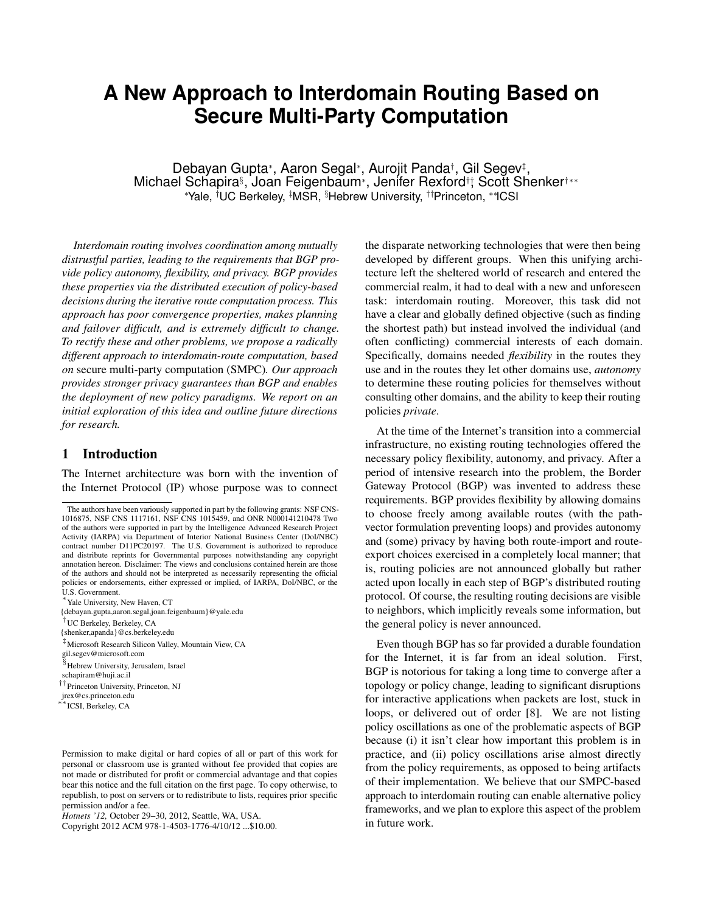# **A New Approach to Interdomain Routing Based on Secure Multi-Party Computation**

Debayan Gupta∗, Aaron Segal∗, Aurojit Panda†, Gil Segev‡, Michael Schapira§, Joan Feigenbaum∗, Jenifer Rexford††, Scott Shenker†∗∗ ∗ Yale, † UC Berkeley, ‡ MSR, § Hebrew University, ††Princeton, ∗∗ICSI

*Interdomain routing involves coordination among mutually distrustful parties, leading to the requirements that BGP provide policy autonomy, flexibility, and privacy. BGP provides these properties via the distributed execution of policy-based decisions during the iterative route computation process. This approach has poor convergence properties, makes planning and failover difficult, and is extremely difficult to change. To rectify these and other problems, we propose a radically different approach to interdomain-route computation, based on* secure multi-party computation (SMPC)*. Our approach provides stronger privacy guarantees than BGP and enables the deployment of new policy paradigms. We report on an initial exploration of this idea and outline future directions for research.*

## 1 Introduction

The Internet architecture was born with the invention of the Internet Protocol (IP) whose purpose was to connect

∗Yale University, New Haven, CT

†UC Berkeley, Berkeley, CA

{shenker,apanda}@cs.berkeley.edu

‡Microsoft Research Silicon Valley, Mountain View, CA

gil.segev@microsoft.com

§Hebrew University, Jerusalem, Israel

schapiram@huji.ac.il

††Princeton University, Princeton, NJ

jrex@cs.princeton.edu ∗∗ICSI, Berkeley, CA

Permission to make digital or hard copies of all or part of this work for personal or classroom use is granted without fee provided that copies are not made or distributed for profit or commercial advantage and that copies bear this notice and the full citation on the first page. To copy otherwise, to republish, to post on servers or to redistribute to lists, requires prior specific permission and/or a fee.

*Hotnets '12,* October 29–30, 2012, Seattle, WA, USA.

Copyright 2012 ACM 978-1-4503-1776-4/10/12 ...\$10.00.

the disparate networking technologies that were then being developed by different groups. When this unifying architecture left the sheltered world of research and entered the commercial realm, it had to deal with a new and unforeseen task: interdomain routing. Moreover, this task did not have a clear and globally defined objective (such as finding the shortest path) but instead involved the individual (and often conflicting) commercial interests of each domain. Specifically, domains needed *flexibility* in the routes they use and in the routes they let other domains use, *autonomy* to determine these routing policies for themselves without consulting other domains, and the ability to keep their routing policies *private*.

At the time of the Internet's transition into a commercial infrastructure, no existing routing technologies offered the necessary policy flexibility, autonomy, and privacy. After a period of intensive research into the problem, the Border Gateway Protocol (BGP) was invented to address these requirements. BGP provides flexibility by allowing domains to choose freely among available routes (with the pathvector formulation preventing loops) and provides autonomy and (some) privacy by having both route-import and routeexport choices exercised in a completely local manner; that is, routing policies are not announced globally but rather acted upon locally in each step of BGP's distributed routing protocol. Of course, the resulting routing decisions are visible to neighbors, which implicitly reveals some information, but the general policy is never announced.

Even though BGP has so far provided a durable foundation for the Internet, it is far from an ideal solution. First, BGP is notorious for taking a long time to converge after a topology or policy change, leading to significant disruptions for interactive applications when packets are lost, stuck in loops, or delivered out of order [\[8\]](#page-5-0). We are not listing policy oscillations as one of the problematic aspects of BGP because (i) it isn't clear how important this problem is in practice, and (ii) policy oscillations arise almost directly from the policy requirements, as opposed to being artifacts of their implementation. We believe that our SMPC-based approach to interdomain routing can enable alternative policy frameworks, and we plan to explore this aspect of the problem in future work.

The authors have been variously supported in part by the following grants: NSF CNS-1016875, NSF CNS 1117161, NSF CNS 1015459, and ONR N000141210478 Two of the authors were supported in part by the Intelligence Advanced Research Project Activity (IARPA) via Department of Interior National Business Center (DoI/NBC) contract number D11PC20197. The U.S. Government is authorized to reproduce and distribute reprints for Governmental purposes notwithstanding any copyright annotation hereon. Disclaimer: The views and conclusions contained herein are those of the authors and should not be interpreted as necessarily representing the official policies or endorsements, either expressed or implied, of IARPA, DoI/NBC, or the U.S. Government.

<sup>{</sup>debayan.gupta,aaron.segal,joan.feigenbaum}@yale.edu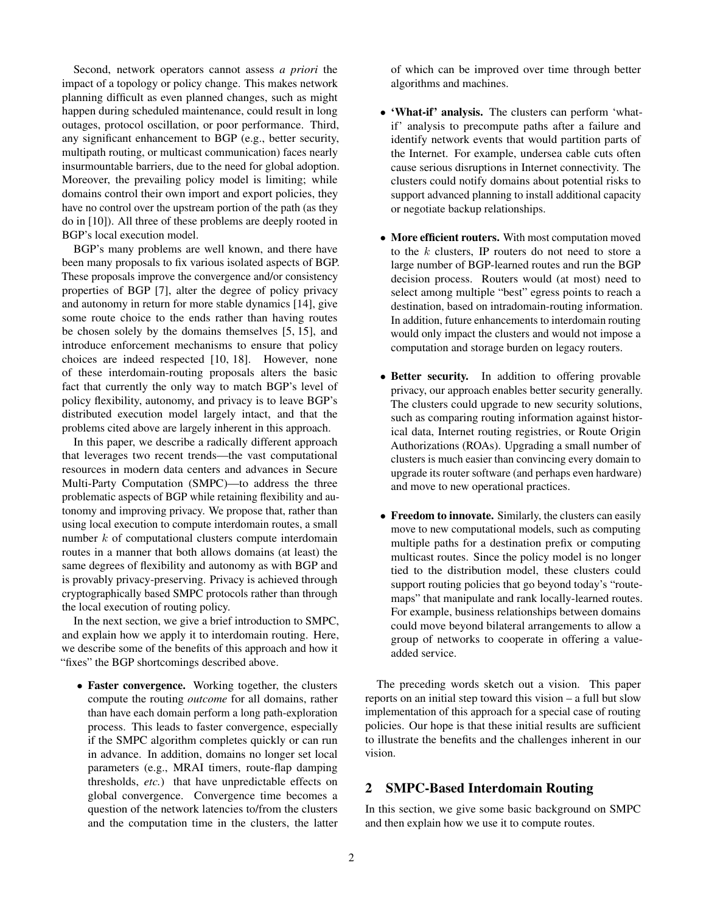Second, network operators cannot assess *a priori* the impact of a topology or policy change. This makes network planning difficult as even planned changes, such as might happen during scheduled maintenance, could result in long outages, protocol oscillation, or poor performance. Third, any significant enhancement to BGP (e.g., better security, multipath routing, or multicast communication) faces nearly insurmountable barriers, due to the need for global adoption. Moreover, the prevailing policy model is limiting; while domains control their own import and export policies, they have no control over the upstream portion of the path (as they do in [\[10\]](#page-5-1)). All three of these problems are deeply rooted in BGP's local execution model.

BGP's many problems are well known, and there have been many proposals to fix various isolated aspects of BGP. These proposals improve the convergence and/or consistency properties of BGP [\[7\]](#page-5-2), alter the degree of policy privacy and autonomy in return for more stable dynamics [\[14\]](#page-5-3), give some route choice to the ends rather than having routes be chosen solely by the domains themselves [\[5,](#page-5-4) [15\]](#page-5-5), and introduce enforcement mechanisms to ensure that policy choices are indeed respected [\[10,](#page-5-1) [18\]](#page-5-6). However, none of these interdomain-routing proposals alters the basic fact that currently the only way to match BGP's level of policy flexibility, autonomy, and privacy is to leave BGP's distributed execution model largely intact, and that the problems cited above are largely inherent in this approach.

In this paper, we describe a radically different approach that leverages two recent trends—the vast computational resources in modern data centers and advances in Secure Multi-Party Computation (SMPC)—to address the three problematic aspects of BGP while retaining flexibility and autonomy and improving privacy. We propose that, rather than using local execution to compute interdomain routes, a small number *k* of computational clusters compute interdomain routes in a manner that both allows domains (at least) the same degrees of flexibility and autonomy as with BGP and is provably privacy-preserving. Privacy is achieved through cryptographically based SMPC protocols rather than through the local execution of routing policy.

In the next section, we give a brief introduction to SMPC, and explain how we apply it to interdomain routing. Here, we describe some of the benefits of this approach and how it "fixes" the BGP shortcomings described above.

• Faster convergence. Working together, the clusters compute the routing *outcome* for all domains, rather than have each domain perform a long path-exploration process. This leads to faster convergence, especially if the SMPC algorithm completes quickly or can run in advance. In addition, domains no longer set local parameters (e.g., MRAI timers, route-flap damping thresholds, *etc.*) that have unpredictable effects on global convergence. Convergence time becomes a question of the network latencies to/from the clusters and the computation time in the clusters, the latter of which can be improved over time through better algorithms and machines.

- 'What-if' analysis. The clusters can perform 'whatif' analysis to precompute paths after a failure and identify network events that would partition parts of the Internet. For example, undersea cable cuts often cause serious disruptions in Internet connectivity. The clusters could notify domains about potential risks to support advanced planning to install additional capacity or negotiate backup relationships.
- More efficient routers. With most computation moved to the *k* clusters, IP routers do not need to store a large number of BGP-learned routes and run the BGP decision process. Routers would (at most) need to select among multiple "best" egress points to reach a destination, based on intradomain-routing information. In addition, future enhancements to interdomain routing would only impact the clusters and would not impose a computation and storage burden on legacy routers.
- Better security. In addition to offering provable privacy, our approach enables better security generally. The clusters could upgrade to new security solutions, such as comparing routing information against historical data, Internet routing registries, or Route Origin Authorizations (ROAs). Upgrading a small number of clusters is much easier than convincing every domain to upgrade its router software (and perhaps even hardware) and move to new operational practices.
- Freedom to innovate. Similarly, the clusters can easily move to new computational models, such as computing multiple paths for a destination prefix or computing multicast routes. Since the policy model is no longer tied to the distribution model, these clusters could support routing policies that go beyond today's "routemaps" that manipulate and rank locally-learned routes. For example, business relationships between domains could move beyond bilateral arrangements to allow a group of networks to cooperate in offering a valueadded service.

The preceding words sketch out a vision. This paper reports on an initial step toward this vision – a full but slow implementation of this approach for a special case of routing policies. Our hope is that these initial results are sufficient to illustrate the benefits and the challenges inherent in our vision.

# 2 SMPC-Based Interdomain Routing

In this section, we give some basic background on SMPC and then explain how we use it to compute routes.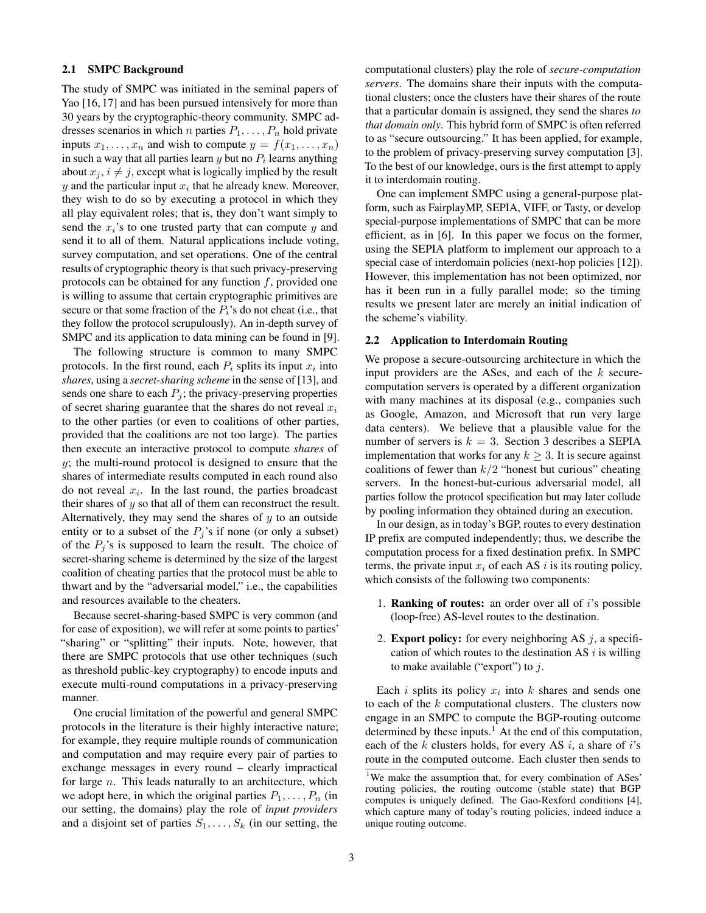## 2.1 SMPC Background

The study of SMPC was initiated in the seminal papers of Yao [\[16,](#page-5-7) [17\]](#page-5-8) and has been pursued intensively for more than 30 years by the cryptographic-theory community. SMPC addresses scenarios in which *n* parties  $P_1, \ldots, P_n$  hold private inputs  $x_1, \ldots, x_n$  and wish to compute  $y = f(x_1, \ldots, x_n)$ in such a way that all parties learn  $y$  but no  $P_i$  learns anything about  $x_j$ ,  $i \neq j$ , except what is logically implied by the result *y* and the particular input  $x_i$  that he already knew. Moreover, they wish to do so by executing a protocol in which they all play equivalent roles; that is, they don't want simply to send the *xi*'s to one trusted party that can compute *y* and send it to all of them. Natural applications include voting, survey computation, and set operations. One of the central results of cryptographic theory is that such privacy-preserving protocols can be obtained for any function *f*, provided one is willing to assume that certain cryptographic primitives are secure or that some fraction of the  $P_i$ 's do not cheat (i.e., that they follow the protocol scrupulously). An in-depth survey of SMPC and its application to data mining can be found in [\[9\]](#page-5-9).

The following structure is common to many SMPC protocols. In the first round, each  $P_i$  splits its input  $x_i$  into *shares*, using a *secret-sharing scheme* in the sense of [\[13\]](#page-5-10), and sends one share to each  $P_j$ ; the privacy-preserving properties of secret sharing guarantee that the shares do not reveal *x<sup>i</sup>* to the other parties (or even to coalitions of other parties, provided that the coalitions are not too large). The parties then execute an interactive protocol to compute *shares* of *y*; the multi-round protocol is designed to ensure that the shares of intermediate results computed in each round also do not reveal  $x_i$ . In the last round, the parties broadcast their shares of *y* so that all of them can reconstruct the result. Alternatively, they may send the shares of *y* to an outside entity or to a subset of the  $P_j$ 's if none (or only a subset) of the  $P_j$ 's is supposed to learn the result. The choice of secret-sharing scheme is determined by the size of the largest coalition of cheating parties that the protocol must be able to thwart and by the "adversarial model," i.e., the capabilities and resources available to the cheaters.

Because secret-sharing-based SMPC is very common (and for ease of exposition), we will refer at some points to parties' "sharing" or "splitting" their inputs. Note, however, that there are SMPC protocols that use other techniques (such as threshold public-key cryptography) to encode inputs and execute multi-round computations in a privacy-preserving manner.

One crucial limitation of the powerful and general SMPC protocols in the literature is their highly interactive nature; for example, they require multiple rounds of communication and computation and may require every pair of parties to exchange messages in every round – clearly impractical for large *n*. This leads naturally to an architecture, which we adopt here, in which the original parties  $P_1, \ldots, P_n$  (in our setting, the domains) play the role of *input providers* and a disjoint set of parties  $S_1, \ldots, S_k$  (in our setting, the

computational clusters) play the role of *secure-computation servers*. The domains share their inputs with the computational clusters; once the clusters have their shares of the route that a particular domain is assigned, they send the shares *to that domain only*. This hybrid form of SMPC is often referred to as "secure outsourcing." It has been applied, for example, to the problem of privacy-preserving survey computation [\[3\]](#page-5-11). To the best of our knowledge, ours is the first attempt to apply it to interdomain routing.

One can implement SMPC using a general-purpose platform, such as FairplayMP, SEPIA, VIFF, or Tasty, or develop special-purpose implementations of SMPC that can be more efficient, as in [\[6\]](#page-5-12). In this paper we focus on the former, using the SEPIA platform to implement our approach to a special case of interdomain policies (next-hop policies [\[12\]](#page-5-13)). However, this implementation has not been optimized, nor has it been run in a fully parallel mode; so the timing results we present later are merely an initial indication of the scheme's viability.

## 2.2 Application to Interdomain Routing

We propose a secure-outsourcing architecture in which the input providers are the ASes, and each of the *k* securecomputation servers is operated by a different organization with many machines at its disposal (e.g., companies such as Google, Amazon, and Microsoft that run very large data centers). We believe that a plausible value for the number of servers is  $k = 3$  $k = 3$ . Section 3 describes a SEPIA implementation that works for any  $k \geq 3$ . It is secure against coalitions of fewer than  $k/2$  "honest but curious" cheating servers. In the honest-but-curious adversarial model, all parties follow the protocol specification but may later collude by pooling information they obtained during an execution.

In our design, as in today's BGP, routes to every destination IP prefix are computed independently; thus, we describe the computation process for a fixed destination prefix. In SMPC terms, the private input  $x_i$  of each AS  $i$  is its routing policy, which consists of the following two components:

- 1. Ranking of routes: an order over all of *i*'s possible (loop-free) AS-level routes to the destination.
- 2. Export policy: for every neighboring AS *j*, a specification of which routes to the destination AS *i* is willing to make available ("export") to *j*.

Each  $i$  splits its policy  $x_i$  into  $k$  shares and sends one to each of the *k* computational clusters. The clusters now engage in an SMPC to compute the BGP-routing outcome determined by these inputs.<sup>[1](#page-2-0)</sup> At the end of this computation, each of the *k* clusters holds, for every AS *i*, a share of *i*'s route in the computed outcome. Each cluster then sends to

<span id="page-2-0"></span><sup>&</sup>lt;sup>1</sup>We make the assumption that, for every combination of ASes' routing policies, the routing outcome (stable state) that BGP computes is uniquely defined. The Gao-Rexford conditions [\[4\]](#page-5-14), which capture many of today's routing policies, indeed induce a unique routing outcome.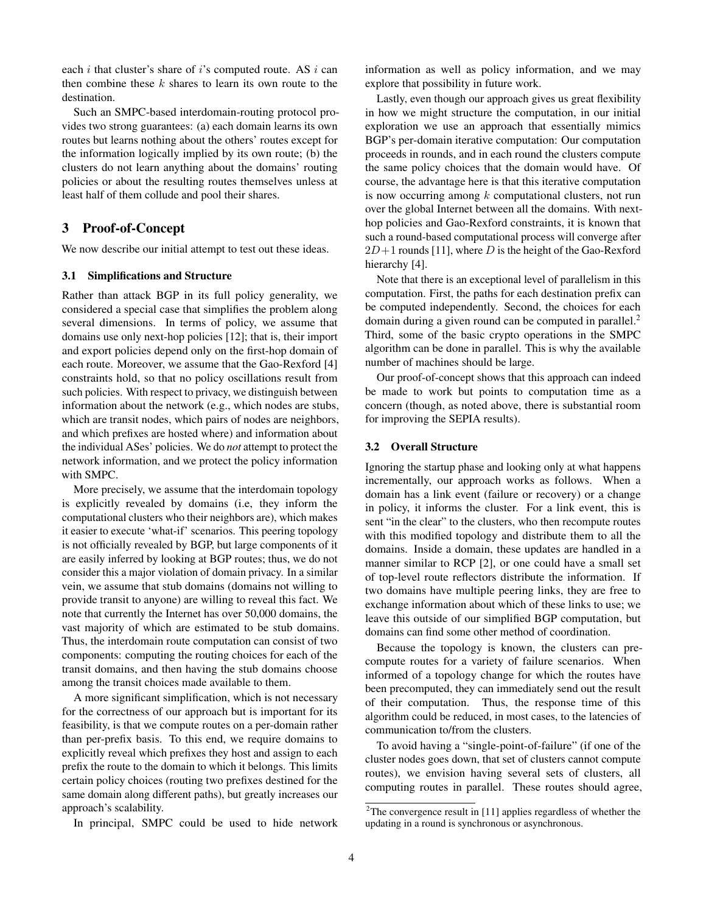each *i* that cluster's share of *i*'s computed route. AS *i* can then combine these *k* shares to learn its own route to the destination.

Such an SMPC-based interdomain-routing protocol provides two strong guarantees: (a) each domain learns its own routes but learns nothing about the others' routes except for the information logically implied by its own route; (b) the clusters do not learn anything about the domains' routing policies or about the resulting routes themselves unless at least half of them collude and pool their shares.

# <span id="page-3-0"></span>3 Proof-of-Concept

We now describe our initial attempt to test out these ideas.

#### 3.1 Simplifications and Structure

Rather than attack BGP in its full policy generality, we considered a special case that simplifies the problem along several dimensions. In terms of policy, we assume that domains use only next-hop policies [\[12\]](#page-5-13); that is, their import and export policies depend only on the first-hop domain of each route. Moreover, we assume that the Gao-Rexford [\[4\]](#page-5-14) constraints hold, so that no policy oscillations result from such policies. With respect to privacy, we distinguish between information about the network (e.g., which nodes are stubs, which are transit nodes, which pairs of nodes are neighbors, and which prefixes are hosted where) and information about the individual ASes' policies. We do *not* attempt to protect the network information, and we protect the policy information with SMPC.

More precisely, we assume that the interdomain topology is explicitly revealed by domains (i.e, they inform the computational clusters who their neighbors are), which makes it easier to execute 'what-if' scenarios. This peering topology is not officially revealed by BGP, but large components of it are easily inferred by looking at BGP routes; thus, we do not consider this a major violation of domain privacy. In a similar vein, we assume that stub domains (domains not willing to provide transit to anyone) are willing to reveal this fact. We note that currently the Internet has over 50,000 domains, the vast majority of which are estimated to be stub domains. Thus, the interdomain route computation can consist of two components: computing the routing choices for each of the transit domains, and then having the stub domains choose among the transit choices made available to them.

A more significant simplification, which is not necessary for the correctness of our approach but is important for its feasibility, is that we compute routes on a per-domain rather than per-prefix basis. To this end, we require domains to explicitly reveal which prefixes they host and assign to each prefix the route to the domain to which it belongs. This limits certain policy choices (routing two prefixes destined for the same domain along different paths), but greatly increases our approach's scalability.

In principal, SMPC could be used to hide network

information as well as policy information, and we may explore that possibility in future work.

Lastly, even though our approach gives us great flexibility in how we might structure the computation, in our initial exploration we use an approach that essentially mimics BGP's per-domain iterative computation: Our computation proceeds in rounds, and in each round the clusters compute the same policy choices that the domain would have. Of course, the advantage here is that this iterative computation is now occurring among *k* computational clusters, not run over the global Internet between all the domains. With nexthop policies and Gao-Rexford constraints, it is known that such a round-based computational process will converge after  $2D+1$  rounds [\[11\]](#page-5-15), where *D* is the height of the Gao-Rexford hierarchy [\[4\]](#page-5-14).

Note that there is an exceptional level of parallelism in this computation. First, the paths for each destination prefix can be computed independently. Second, the choices for each domain during a given round can be computed in parallel.<sup>[2](#page-3-1)</sup> Third, some of the basic crypto operations in the SMPC algorithm can be done in parallel. This is why the available number of machines should be large.

Our proof-of-concept shows that this approach can indeed be made to work but points to computation time as a concern (though, as noted above, there is substantial room for improving the SEPIA results).

### 3.2 Overall Structure

Ignoring the startup phase and looking only at what happens incrementally, our approach works as follows. When a domain has a link event (failure or recovery) or a change in policy, it informs the cluster. For a link event, this is sent "in the clear" to the clusters, who then recompute routes with this modified topology and distribute them to all the domains. Inside a domain, these updates are handled in a manner similar to RCP [\[2\]](#page-5-16), or one could have a small set of top-level route reflectors distribute the information. If two domains have multiple peering links, they are free to exchange information about which of these links to use; we leave this outside of our simplified BGP computation, but domains can find some other method of coordination.

Because the topology is known, the clusters can precompute routes for a variety of failure scenarios. When informed of a topology change for which the routes have been precomputed, they can immediately send out the result of their computation. Thus, the response time of this algorithm could be reduced, in most cases, to the latencies of communication to/from the clusters.

To avoid having a "single-point-of-failure" (if one of the cluster nodes goes down, that set of clusters cannot compute routes), we envision having several sets of clusters, all computing routes in parallel. These routes should agree,

<span id="page-3-1"></span> $2$ The convergence result in [\[11\]](#page-5-15) applies regardless of whether the updating in a round is synchronous or asynchronous.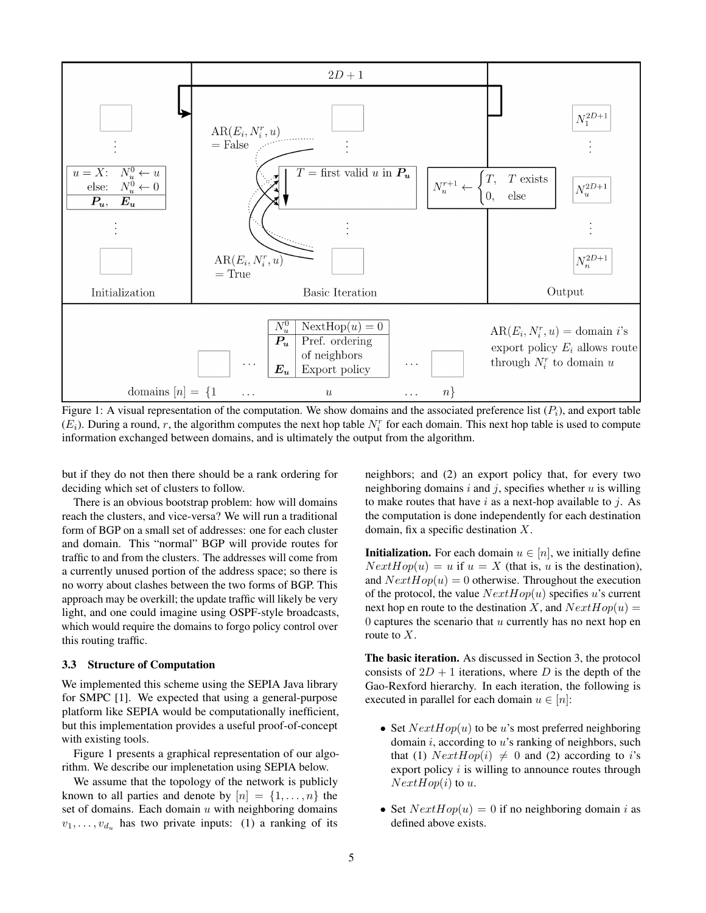<span id="page-4-0"></span>

Figure 1: A visual representation of the computation. We show domains and the associated preference list  $(P_i)$ , and export table  $(E_i)$ . During a round, r, the algorithm computes the next hop table  $N_i^r$  for each domain. This next hop table is used to compute information exchanged between domains, and is ultimately the output from the algorithm.

but if they do not then there should be a rank ordering for deciding which set of clusters to follow.

There is an obvious bootstrap problem: how will domains reach the clusters, and vice-versa? We will run a traditional form of BGP on a small set of addresses: one for each cluster and domain. This "normal" BGP will provide routes for traffic to and from the clusters. The addresses will come from a currently unused portion of the address space; so there is no worry about clashes between the two forms of BGP. This approach may be overkill; the update traffic will likely be very light, and one could imagine using OSPF-style broadcasts, which would require the domains to forgo policy control over this routing traffic.

#### 3.3 Structure of Computation

We implemented this scheme using the SEPIA Java library for SMPC [\[1\]](#page-5-17). We expected that using a general-purpose platform like SEPIA would be computationally inefficient, but this implementation provides a useful proof-of-concept with existing tools.

Figure [1](#page-4-0) presents a graphical representation of our algorithm. We describe our implenetation using SEPIA below.

We assume that the topology of the network is publicly known to all parties and denote by  $[n] = \{1, \ldots, n\}$  the set of domains. Each domain *u* with neighboring domains  $v_1, \ldots, v_{d_u}$  has two private inputs: (1) a ranking of its

neighbors; and (2) an export policy that, for every two neighboring domains *i* and *j*, specifies whether *u* is willing to make routes that have *i* as a next-hop available to *j*. As the computation is done independently for each destination domain, fix a specific destination *X*.

**Initialization.** For each domain  $u \in [n]$ , we initially define  $NextHop(u) = u$  if  $u = X$  (that is, *u* is the destination), and  $NextHop(u)=0$  otherwise. Throughout the execution of the protocol, the value *NextHop*(*u*) specifies *u*'s current next hop en route to the destination *X*, and  $NextHop(u) =$ 0 captures the scenario that *u* currently has no next hop en route to *X*.

The basic iteration. As discussed in Section 3, the protocol consists of  $2D + 1$  iterations, where *D* is the depth of the Gao-Rexford hierarchy. In each iteration, the following is executed in parallel for each domain  $u \in [n]$ :

- Set *NextHop*(*u*) to be *u*'s most preferred neighboring domain *i*, according to *u*'s ranking of neighbors, such that (1)  $NextHop(i) \neq 0$  and (2) according to *i*'s export policy *i* is willing to announce routes through *NextHop*(*i*) to *u*.
- Set  $NextHop(u)=0$  if no neighboring domain *i* as defined above exists.